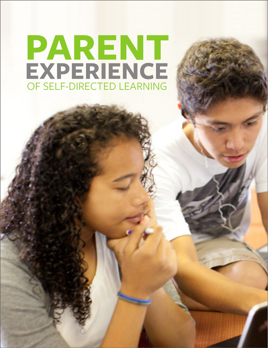# **PARENT EXPERIENCE** OF SELF-DIRECTED LEARNING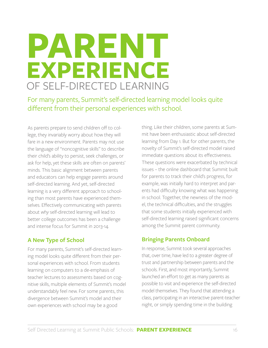## **PARENT EXPERIENCE** OF SELF-DIRECTED LEARNING

For many parents, Summit's self-directed learning model looks quite different from their personal experiences with school.

As parents prepare to send children off to college, they invariably worry about how they will fare in a new environment. Parents may not use the language of "noncognitive skills" to describe their child's ability to persist, seek challenges, or ask for help, yet these skills are often on parents' minds. This basic alignment between parents and educators can help engage parents around self-directed learning. And yet, self-directed learning is a very different approach to schooling than most parents have experienced themselves. Effectively communicating with parents about *why* self-directed learning will lead to better college outcomes has been a challenge and intense focus for Summit in 2013-14.

### **A New Type of School**

For many parents, Summit's self-directed learning model looks quite different from their personal experiences with school. From students learning on computers to a de-emphasis of teacher lectures to assessments based on cognitive skills, multiple elements of Summit's model understandably feel new. For some parents, this divergence between Summit's model and their own experiences with school may be a good

thing. Like their children, some parents at Summit have been enthusiastic about self-directed learning from Day 1. But for other parents, the novelty of Summit's self-directed model raised immediate questions about its effectiveness. These questions were exacerbated by technical issues – the online dashboard that Summit built for parents to track their child's progress, for example, was initially hard to interpret and parents had difficulty knowing what was happening in school. Together, the newness of the model, the technical difficulties, and the struggles that some students initially experienced with self-directed learning raised significant concerns among the Summit parent community.

### **Bringing Parents Onboard**

In response, Summit took several approaches that, over time, have led to a greater degree of trust and partnership between parents and the schools. First, and most importantly, Summit launched an effort to get as many parents as possible to visit and experience the self-directed model themselves. They found that attending a class, participating in an interactive parent-teacher night, or simply spending time in the building